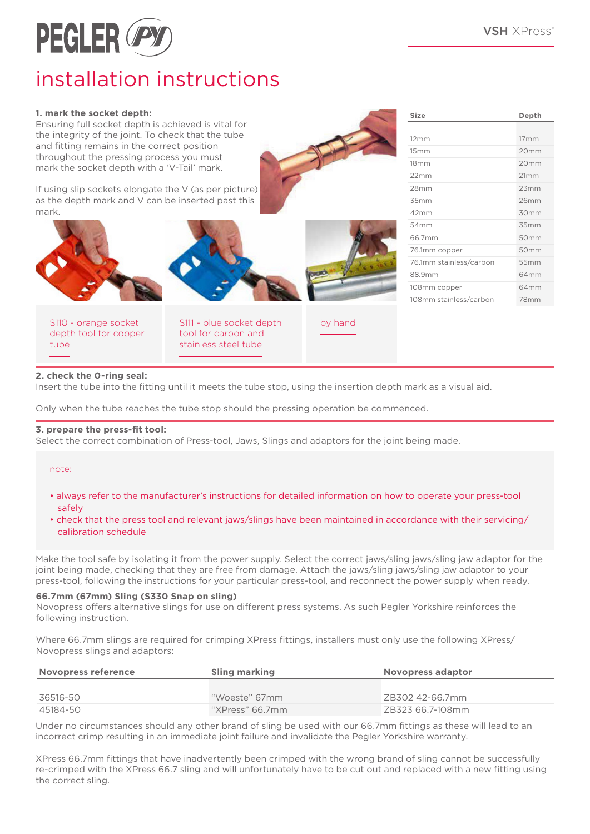**Size Depth**

12mm 17mm 15mm 20mm 18mm 20mm 22mm 21mm 28mm 23mm 35mm 26mm 42mm 30mm 54mm 35mm 66.7mm 50mm 76.1mm copper 50mm 76.1mm stainless/carbon 55mm 88.9mm 64mm 108mm copper 64mm 108mm stainless/carbon 78mm



# installation instructions

#### **1. mark the socket depth:**

Ensuring full socket depth is achieved is vital for the integrity of the joint. To check that the tube and fitting remains in the correct position throughout the pressing process you must mark the socket depth with a 'V-Tail' mark.

If using slip sockets elongate the V (as per picture) as the depth mark and V can be inserted past this mark.



| S110 - orange socket  |
|-----------------------|
| depth tool for copper |
| tube                  |

S111 - blue socket depth tool for carbon and stainless steel tube

by hand

#### **2. check the 0-ring seal:**

Insert the tube into the fitting until it meets the tube stop, using the insertion depth mark as a visual aid.

Only when the tube reaches the tube stop should the pressing operation be commenced.

#### **3. prepare the press-fit tool:**

Select the correct combination of Press-tool, Jaws, Slings and adaptors for the joint being made.

note:

- always refer to the manufacturer's instructions for detailed information on how to operate your press-tool safely
- check that the press tool and relevant jaws/slings have been maintained in accordance with their servicing/ calibration schedule

Make the tool safe by isolating it from the power supply. Select the correct jaws/sling jaws/sling jaw adaptor for the joint being made, checking that they are free from damage. Attach the jaws/sling jaws/sling jaw adaptor to your press-tool, following the instructions for your particular press-tool, and reconnect the power supply when ready.

#### **66.7mm (67mm) Sling (S330 Snap on sling)**

Novopress offers alternative slings for use on different press systems. As such Pegler Yorkshire reinforces the following instruction.

Where 66.7mm slings are required for crimping XPress fittings, installers must only use the following XPress/ Novopress slings and adaptors:

| Novopress reference | <b>Sling marking</b> | Novopress adaptor |
|---------------------|----------------------|-------------------|
|                     |                      |                   |
| 36516-50            | "Woeste" 67mm        | ZB302 42-66.7mm   |
| 45184-50            | "XPress" 66.7mm"     | ZB323 66.7-108mm  |

Under no circumstances should any other brand of sling be used with our 66.7mm fittings as these will lead to an incorrect crimp resulting in an immediate joint failure and invalidate the Pegler Yorkshire warranty.

XPress 66.7mm fittings that have inadvertently been crimped with the wrong brand of sling cannot be successfully re-crimped with the XPress 66.7 sling and will unfortunately have to be cut out and replaced with a new fitting using the correct sling.